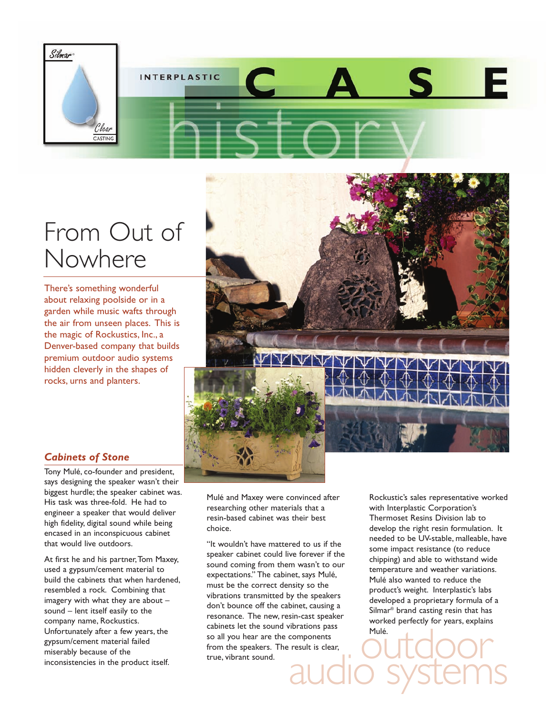

## From Out of Nowhere

There's something wonderful about relaxing poolside or in a garden while music wafts through the air from unseen places. This is the magic of Rockustics, Inc., a Denver-based company that builds premium outdoor audio systems hidden cleverly in the shapes of rocks, urns and planters.



## *Cabinets of Stone*

Tony Mulé, co-founder and president, says designing the speaker wasn't their biggest hurdle; the speaker cabinet was. His task was three-fold. He had to engineer a speaker that would deliver high fidelity, digital sound while being encased in an inconspicuous cabinet that would live outdoors.

At first he and his partner,Tom Maxey, used a gypsum/cement material to build the cabinets that when hardened, resembled a rock. Combining that imagery with what they are about – sound – lent itself easily to the company name, Rockustics. Unfortunately after a few years, the gypsum/cement material failed miserably because of the inconsistencies in the product itself.

Mulé and Maxey were convinced after researching other materials that a resin-based cabinet was their best choice.

"It wouldn't have mattered to us if the speaker cabinet could live forever if the sound coming from them wasn't to our expectations." The cabinet, says Mulé, must be the correct density so the vibrations transmitted by the speakers don't bounce off the cabinet, causing a resonance. The new, resin-cast speaker cabinets let the sound vibrations pass so all you hear are the components from the speakers. The result is clear, true, vibrant sound.

Rockustic's sales representative worked with Interplastic Corporation's Thermoset Resins Division lab to develop the right resin formulation. It needed to be UV-stable, malleable, have some impact resistance (to reduce chipping) and able to withstand wide temperature and weather variations. Mulé also wanted to reduce the product's weight. Interplastic's labs developed a proprietary formula of a Silmar® brand casting resin that has worked perfectly for years, explains Mulé.

Torations pass<br>
result is clear,<br>
audio systems